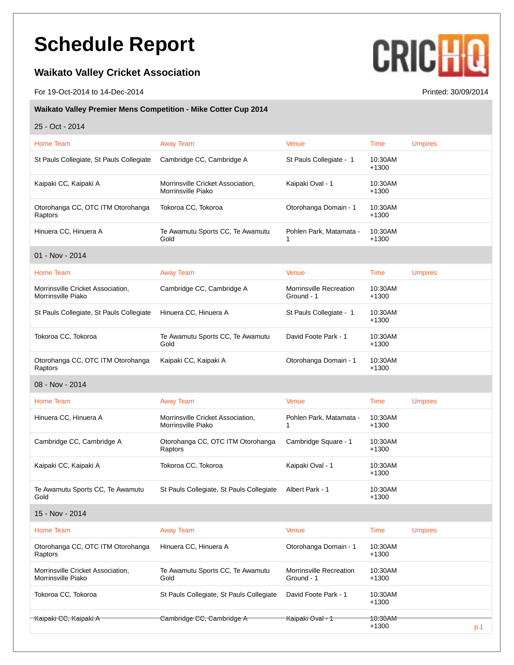## **Schedule Report**

## **Waikato Valley Cricket Association**

For 19-Oct-2014 to 14-Dec-2014 Printed: 30/09/2014

## **CRICHO**

## **Waikato Valley Premier Mens Competition - Mike Cotter Cup 2014**

25 - Oct - 2014

| Home Team                                               | <b>Away Team</b>                                        | Venue                                        | Time                          | <b>Umpires</b> |
|---------------------------------------------------------|---------------------------------------------------------|----------------------------------------------|-------------------------------|----------------|
| St Pauls Collegiate, St Pauls Collegiate                | Cambridge CC, Cambridge A                               | St Pauls Collegiate - 1                      | 10:30AM<br>$+1300$            |                |
| Kaipaki CC, Kaipaki A                                   | Morrinsville Cricket Association,<br>Morrinsville Piako | Kaipaki Oval - 1                             | 10:30AM<br>$+1300$            |                |
| Otorohanga CC, OTC ITM Otorohanga<br>Raptors            | Tokoroa CC, Tokoroa                                     | Otorohanga Domain - 1                        | 10:30AM<br>$+1300$            |                |
| Hinuera CC, Hinuera A                                   | Te Awamutu Sports CC, Te Awamutu<br>Gold                | Pohlen Park, Matamata -                      | 10:30AM<br>$+1300$            |                |
| 01 - Nov - 2014                                         |                                                         |                                              |                               |                |
| Home Team                                               | <b>Away Team</b>                                        | Venue                                        | <b>Time</b>                   | <b>Umpires</b> |
| Morrinsville Cricket Association,<br>Morrinsville Piako | Cambridge CC, Cambridge A                               | Morrinsville Recreation<br>Ground - 1        | 10:30AM<br>$+1300$            |                |
| St Pauls Collegiate, St Pauls Collegiate                | Hinuera CC, Hinuera A                                   | St Pauls Collegiate - 1                      | 10:30AM<br>$+1300$            |                |
| Tokoroa CC, Tokoroa                                     | Te Awamutu Sports CC, Te Awamutu<br>Gold                | David Foote Park - 1                         | 10:30AM<br>$+1300$            |                |
| Otorohanga CC, OTC ITM Otorohanga<br>Raptors            | Kaipaki CC, Kaipaki A                                   | Otorohanga Domain - 1                        | 10:30AM<br>$+1300$            |                |
| 08 - Nov - 2014                                         |                                                         |                                              |                               |                |
| Home Team                                               | <b>Away Team</b>                                        | Venue                                        | Time                          | <b>Umpires</b> |
| Hinuera CC, Hinuera A                                   | Morrinsville Cricket Association,<br>Morrinsville Piako | Pohlen Park, Matamata -<br>1                 | 10:30AM<br>$+1300$            |                |
| Cambridge CC, Cambridge A                               | Otorohanga CC, OTC ITM Otorohanga<br>Raptors            | Cambridge Square - 1                         | 10:30AM<br>$+1300$            |                |
| Kaipaki CC, Kaipaki A                                   | Tokoroa CC, Tokoroa                                     | Kaipaki Oval - 1                             | 10:30AM<br>$+1300$            |                |
| Te Awamutu Sports CC, Te Awamutu<br>Gold                | St Pauls Collegiate, St Pauls Collegiate                | Albert Park - 1                              | 10:30AM<br>$+1300$            |                |
| 15 - Nov - 2014                                         |                                                         |                                              |                               |                |
| Home Team                                               | <b>Away Team</b>                                        | Venue                                        | Time                          | <b>Umpires</b> |
| Otorohanga CC, OTC ITM Otorohanga<br>Raptors            | Hinuera CC, Hinuera A                                   | Otorohanga Domain - 1                        | 10:30AM<br>$+1300$            |                |
| Morrinsville Cricket Association,<br>Morrinsville Piako | Te Awamutu Sports CC, Te Awamutu<br>Gold                | <b>Morrinsville Recreation</b><br>Ground - 1 | 10:30AM<br>$+1300$            |                |
| Tokoroa CC, Tokoroa                                     | St Pauls Collegiate, St Pauls Collegiate                | David Foote Park - 1                         | 10:30AM<br>$+1300$            |                |
| Kaipaki CC, Kaipaki A                                   | Cambridge CC, Cambridge A                               | Kaipaki Oval - 1                             | <del>10.30AM</del><br>$+1300$ | p.1            |